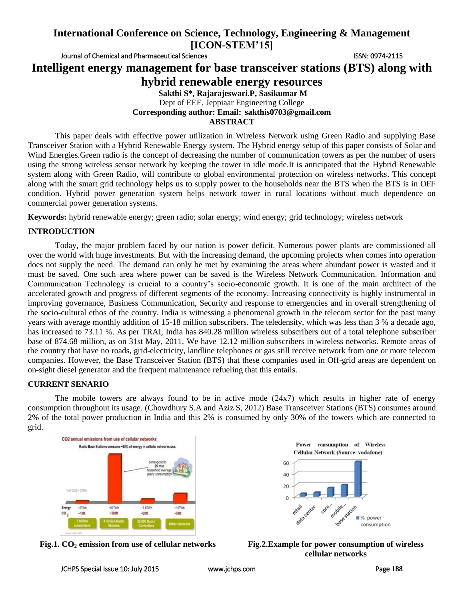Journal of Chemical and Pharmaceutical Sciences **ISSN: 0974-2115** 

**Intelligent energy management for base transceiver stations (BTS) along with** 

**hybrid renewable energy resources**

### **Sakthi S\*, Rajarajeswari.P, Sasikumar M** Dept of EEE, Jeppiaar Engineering College **Corresponding author: Email: [sakthis0703@gmail.com](mailto:sakthis0703@gmail.com) ABSTRACT**

This paper deals with effective power utilization in Wireless Network using Green Radio and supplying Base Transceiver Station with a Hybrid Renewable Energy system. The Hybrid energy setup of this paper consists of Solar and Wind Energies.Green radio is the concept of decreasing the number of communication towers as per the number of users using the strong wireless sensor network by keeping the tower in idle mode.It is anticipated that the Hybrid Renewable system along with Green Radio, will contribute to global environmental protection on wireless networks. This concept along with the smart grid technology helps us to supply power to the households near the BTS when the BTS is in OFF condition. Hybrid power generation system helps network tower in rural locations without much dependence on commercial power generation systems.

**Keywords:** hybrid renewable energy; green radio; solar energy; wind energy; grid technology; wireless network

## **INTRODUCTION**

Today, the major problem faced by our nation is power deficit. Numerous power plants are commissioned all over the world with huge investments. But with the increasing demand, the upcoming projects when comes into operation does not supply the need. The demand can only be met by examining the areas where abundant power is wasted and it must be saved. One such area where power can be saved is the Wireless Network Communication. Information and Communication Technology is crucial to a country's socio-economic growth. It is one of the main architect of the accelerated growth and progress of different segments of the economy. Increasing connectivity is highly instrumental in improving governance, Business Communication, Security and response to emergencies and in overall strengthening of the socio-cultural ethos of the country. India is witnessing a phenomenal growth in the telecom sector for the past many years with average monthly addition of 15-18 million subscribers. The teledensity, which was less than 3 % a decade ago, has increased to 73.11 %. As per TRAI, India has 840.28 million wireless subscribers out of a total telephone subscriber base of 874.68 million, as on 31st May, 2011. We have 12.12 million subscribers in wireless networks. Remote areas of the country that have no roads, grid-electricity, landline telephones or gas still receive network from one or more telecom companies. However, the Base Transceiver Station (BTS) that these companies used in Off-grid areas are dependent on on-sight diesel generator and the frequent maintenance refueling that this entails.

## **CURRENT SENARIO**

The mobile towers are always found to be in active mode  $(24x7)$  which results in higher rate of energy consumption throughout its usage. (Chowdhury S.A and Aziz S, 2012) Base Transceiver Stations (BTS) consumes around 2% of the total power production in India and this 2% is consumed by only 30% of the towers which are connected to grid.





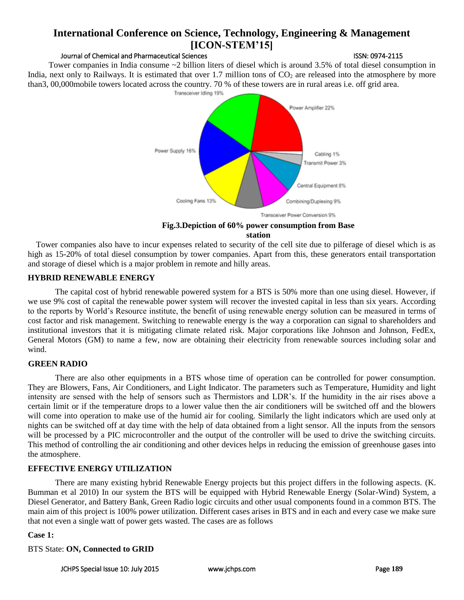## Journal of Chemical and Pharmaceutical Sciences **ISSN: 0974-2115**

 Tower companies in India consume ~2 billion liters of diesel which is around 3.5% of total diesel consumption in India, next only to Railways. It is estimated that over 1.7 million tons of  $CO<sub>2</sub>$  are released into the atmosphere by more than3, 00,000mobile towers located across the country. 70 % of these towers are in rural areas i.e. off grid area.



### **Fig.3.Depiction of 60% power consumption from Base station**

Tower companies also have to incur expenses related to security of the cell site due to pilferage of diesel which is as high as 15-20% of total diesel consumption by tower companies. Apart from this, these generators entail transportation and storage of diesel which is a major problem in remote and hilly areas.

## **HYBRID RENEWABLE ENERGY**

The capital cost of hybrid renewable powered system for a BTS is 50% more than one using diesel. However, if we use 9% cost of capital the renewable power system will recover the invested capital in less than six years. According to the reports by World's Resource institute, the benefit of using renewable energy solution can be measured in terms of cost factor and risk management. Switching to renewable energy is the way a corporation can signal to shareholders and institutional investors that it is mitigating climate related risk. Major corporations like Johnson and Johnson, FedEx, General Motors (GM) to name a few, now are obtaining their electricity from renewable sources including solar and wind.

## **GREEN RADIO**

There are also other equipments in a BTS whose time of operation can be controlled for power consumption. They are Blowers, Fans, Air Conditioners, and Light Indicator. The parameters such as Temperature, Humidity and light intensity are sensed with the help of sensors such as Thermistors and LDR's. If the humidity in the air rises above a certain limit or if the temperature drops to a lower value then the air conditioners will be switched off and the blowers will come into operation to make use of the humid air for cooling. Similarly the light indicators which are used only at nights can be switched off at day time with the help of data obtained from a light sensor. All the inputs from the sensors will be processed by a PIC microcontroller and the output of the controller will be used to drive the switching circuits. This method of controlling the air conditioning and other devices helps in reducing the emission of greenhouse gases into the atmosphere.

## **EFFECTIVE ENERGY UTILIZATION**

There are many existing hybrid Renewable Energy projects but this project differs in the following aspects. (K. Bumman et al 2010) In our system the BTS will be equipped with Hybrid Renewable Energy (Solar-Wind) System, a Diesel Generator, and Battery Bank, Green Radio logic circuits and other usual components found in a common BTS. The main aim of this project is 100% power utilization. Different cases arises in BTS and in each and every case we make sure that not even a single watt of power gets wasted. The cases are as follows

## **Case 1:**

## BTS State: **ON, Connected to GRID**

JCHPS Special Issue 10: July 2015 [www.jchps.com](http://www.jchps.com/) Page **189**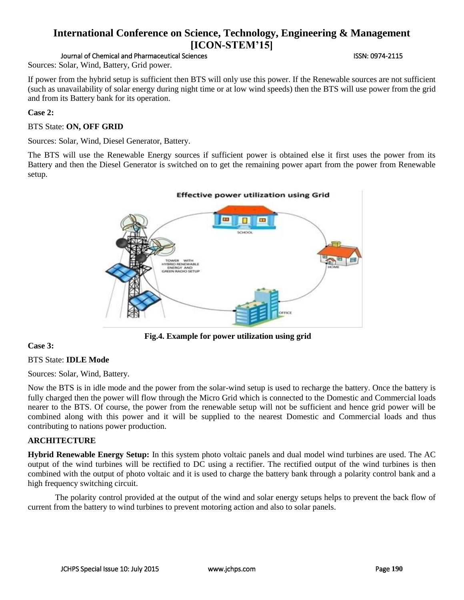Journal of Chemical and Pharmaceutical Sciences **ISSN: 0974-2115** 

Sources: Solar, Wind, Battery, Grid power.

If power from the hybrid setup is sufficient then BTS will only use this power. If the Renewable sources are not sufficient (such as unavailability of solar energy during night time or at low wind speeds) then the BTS will use power from the grid and from its Battery bank for its operation.

### **Case 2:**

BTS State: **ON, OFF GRID**

Sources: Solar, Wind, Diesel Generator, Battery.

The BTS will use the Renewable Energy sources if sufficient power is obtained else it first uses the power from its Battery and then the Diesel Generator is switched on to get the remaining power apart from the power from Renewable setup.



**Fig.4. Example for power utilization using grid**

## **Case 3:**

## BTS State: **IDLE Mode**

Sources: Solar, Wind, Battery.

Now the BTS is in idle mode and the power from the solar-wind setup is used to recharge the battery. Once the battery is fully charged then the power will flow through the Micro Grid which is connected to the Domestic and Commercial loads nearer to the BTS. Of course, the power from the renewable setup will not be sufficient and hence grid power will be combined along with this power and it will be supplied to the nearest Domestic and Commercial loads and thus contributing to nations power production.

### **ARCHITECTURE**

**Hybrid Renewable Energy Setup:** In this system photo voltaic panels and dual model wind turbines are used. The AC output of the wind turbines will be rectified to DC using a rectifier. The rectified output of the wind turbines is then combined with the output of photo voltaic and it is used to charge the battery bank through a polarity control bank and a high frequency switching circuit.

The polarity control provided at the output of the wind and solar energy setups helps to prevent the back flow of current from the battery to wind turbines to prevent motoring action and also to solar panels.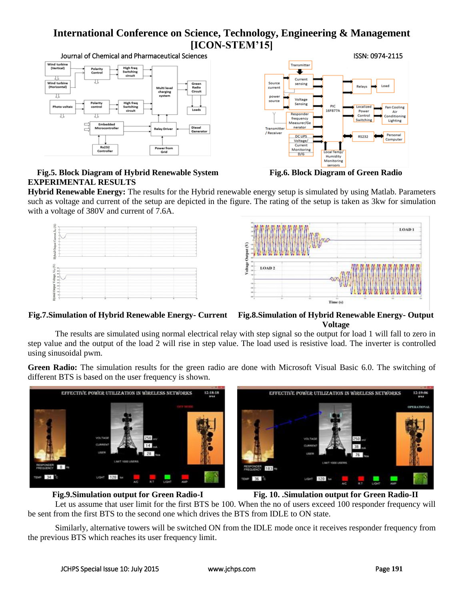Wind turbin<br>(Vertical) High freq<br>Switching Polarity<br>Control JΙ Wind turbine<br>(Horizontal) Green<br>Radio<br>Circuit Multi leve<br>charging<br>system IJ High free<br>Switching Photo volt Loads circui IJ Embedded<br>Microcontroll Diesel<br>Generator **Relay Driver** Rs232<br>Controlle wer froi<br>Grid

## **Fig.5. Block Diagram of Hybrid Renewable System Fig.6. Block Diagram of Green Radio EXPERIMENTAL RESULTS**



**Hybrid Renewable Energy:** The results for the Hybrid renewable energy setup is simulated by using Matlab. Parameters such as voltage and current of the setup are depicted in the figure. The rating of the setup is taken as 3kw for simulation with a voltage of 380V and current of 7.6A.



## **Fig.7.Simulation of Hybrid Renewable Energy- Current Fig.8.Simulation of Hybrid Renewable Energy- Output Voltage**

The results are simulated using normal electrical relay with step signal so the output for load 1 will fall to zero in step value and the output of the load 2 will rise in step value. The load used is resistive load. The inverter is controlled using sinusoidal pwm.

**Green Radio:** The simulation results for the green radio are done with Microsoft Visual Basic 6.0. The switching of different BTS is based on the user frequency is shown.







Let us assume that user limit for the first BTS be 100. When the no of users exceed 100 responder frequency will be sent from the first BTS to the second one which drives the BTS from IDLE to ON state.

Similarly, alternative towers will be switched ON from the IDLE mode once it receives responder frequency from the previous BTS which reaches its user frequency limit.